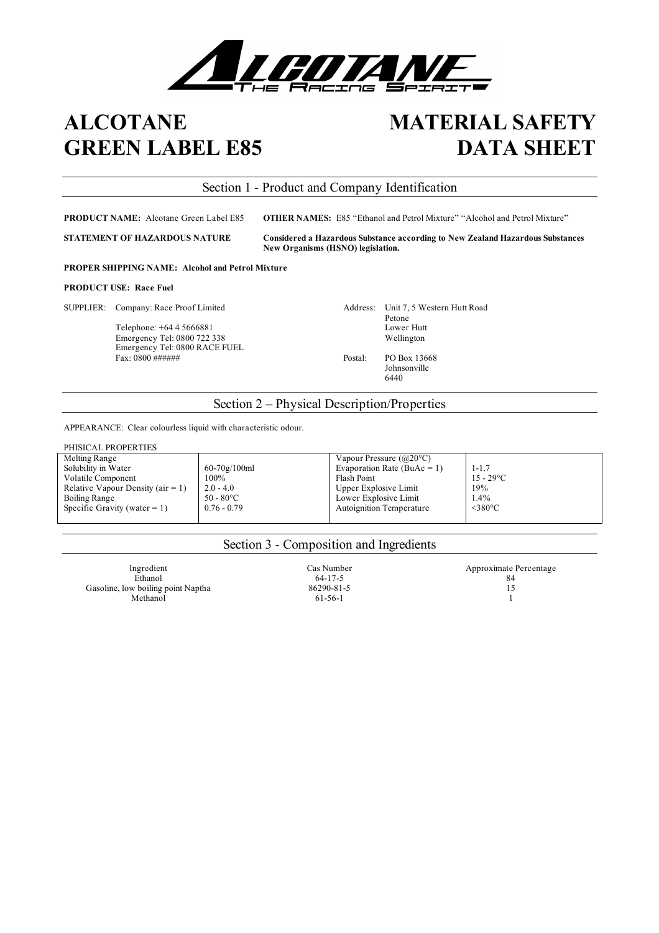

# **ALCOTANE GREEN LABEL E85**

# **MATERIAL SAFETY DATA SHEET**

# Section 1 - Product and Company Identification

**PRODUCT NAME:** Alcotane Green Label E85 **OTHER NAMES:** E85 "Ethanol and Petrol Mixture" "Alcohol and Petrol Mixture"

**STATEMENT OF HAZARDOUS NATURE Considered a Hazardous Substance according to New Zealand Hazardous Substances New Organisms (HSNO) legislation.**

**PROPER SHIPPING NAME: Alcohol and Petrol Mixture**

## **PRODUCT USE: Race Fuel**

SUPPLIER: Company: Race Proof Limited Address: Unit 7, 5 Western Hutt Road

Telephone: +64 4 5666881 Lower Hutt<br>Emergency Tel: 0800 722 338 Wellington Emergency Tel: 0800 722 338 Emergency Tel: 0800 RACE FUEL Fax: 0800 ###### Postal: PO Box 13668

Petone<br>Lower Hutt

Johnsonville 6440

# Section 2 – Physical Description/Properties

APPEARANCE: Clear colourless liquid with characteristic odour.

| PHISICAL PROPERTIES                   |                    |                                          |                     |  |
|---------------------------------------|--------------------|------------------------------------------|---------------------|--|
| Melting Range                         |                    | Vapour Pressure $(Q20^{\circ}C)$         |                     |  |
| Solubility in Water                   | $60 - 70g/100ml$   | Evaporation Rate (BuAc = 1)<br>$1 - 1.7$ |                     |  |
| Volatile Component                    | 100%               | Flash Point                              | $15 - 29^{\circ}C$  |  |
| Relative Vapour Density ( $air = 1$ ) | $2.0 - 4.0$        | Upper Explosive Limit                    | 19%                 |  |
| Boiling Range                         | $50 - 80^{\circ}C$ | Lower Explosive Limit                    | 1.4%                |  |
| Specific Gravity (water $= 1$ )       | $0.76 - 0.79$      | <b>Autoignition Temperature</b>          | $<$ 380 $\degree$ C |  |
|                                       |                    |                                          |                     |  |

# Section 3 - Composition and Ingredients

 $\epsilon$  Ethanol 84 Gasoline, low boiling point Naptha 86290-81-5 15<br>Methanol 61-56-1 1 Methanol  $61-56-1$  1

Ingredient Cas Number Cas Number Approximate Percentage Ethanol 84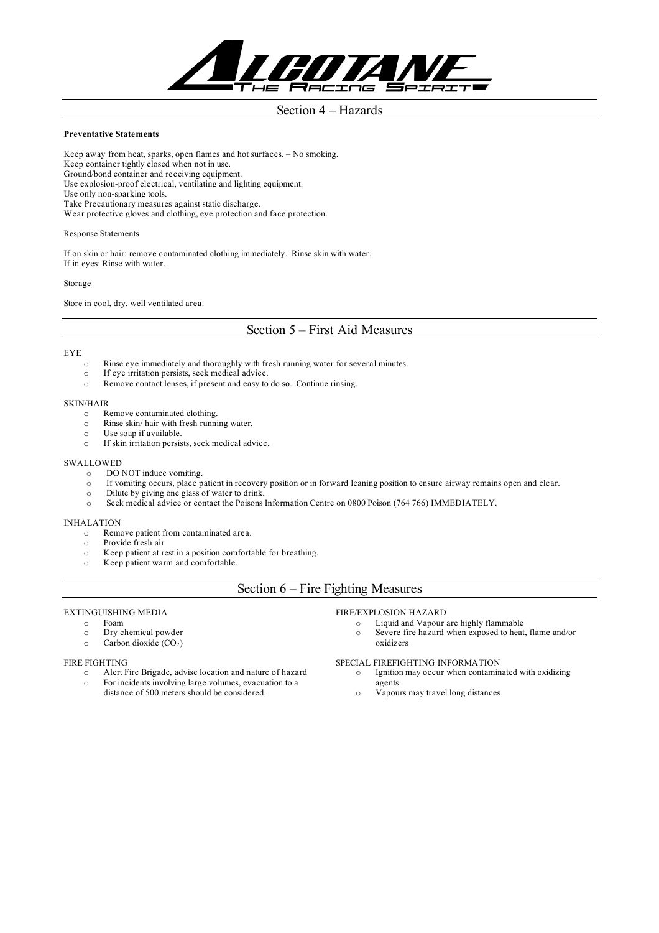

## Section 4 – Hazards

### **Preventative Statements**

Keep away from heat, sparks, open flames and hot surfaces. – No smoking. Keep container tightly closed when not in use. Ground/bond container and receiving equipment. Use explosion-proof electrical, ventilating and lighting equipment. Use only non-sparking tools. Take Precautionary measures against static discharge. Wear protective gloves and clothing, eye protection and face protection.

#### Response Statements

If on skin or hair: remove contaminated clothing immediately. Rinse skin with water. If in eyes: Rinse with water.

#### Storage

Store in cool, dry, well ventilated area.

# Section 5 – First Aid Measures

#### EYE

- o Rinse eye immediately and thoroughly with fresh running water for several minutes.
- o If eye irritation persists, seek medical advice.
- o Remove contact lenses, if present and easy to do so. Continue rinsing.

## SKIN/HAIR

- o Remove contaminated clothing.
- o Rinse skin/ hair with fresh running water.
- o Use soap if available.
- o If skin irritation persists, seek medical advice.

### SWALLOWED

- o DO NOT induce vomiting.
- o If vomiting occurs, place patient in recovery position or in forward leaning position to ensure airway remains open and clear.
- o Dilute by giving one glass of water to drink.
- o Seek medical advice or contact the Poisons Information Centre on 0800 Poison (764 766) IMMEDIATELY.

#### INHALATION

- o Remove patient from contaminated area.
- o Provide fresh air
- o Keep patient at rest in a position comfortable for breathing.
- o Keep patient warm and comfortable.

# Section 6 – Fire Fighting Measures

## EXTINGUISHING MEDIA

- o Foam
- o Dry chemical powder
- $\circ$  Carbon dioxide (CO<sub>2</sub>)

## FIRE FIGHTING

- o Alert Fire Brigade, advise location and nature of hazard
- o For incidents involving large volumes, evacuation to a
- distance of 500 meters should be considered.

## FIRE/EXPLOSION HAZARD

- o Liquid and Vapour are highly flammable
- o Severe fire hazard when exposed to heat, flame and/or oxidizers

## SPECIAL FIREFIGHTING INFORMATION

- o Ignition may occur when contaminated with oxidizing agents.
- o Vapours may travel long distances